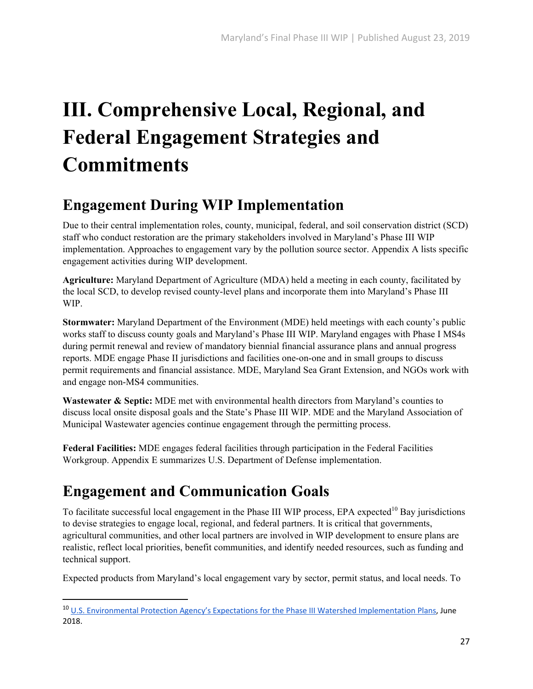# **III. Comprehensive Local, Regional, and Federal Engagement Strategies and Commitments**

### **Engagement During WIP Implementation**

Due to their central implementation roles, county, municipal, federal, and soil conservation district (SCD) staff who conduct restoration are the primary stakeholders involved in Maryland's Phase III WIP implementation. Approaches to engagement vary by the pollution source sector. Appendix A lists specific engagement activities during WIP development.

**Agriculture:** Maryland Department of Agriculture (MDA) held a meeting in each county, facilitated by the local SCD, to develop revised county-level plans and incorporate them into Maryland's Phase III WIP.

**Stormwater:** Maryland Department of the Environment (MDE) held meetings with each county's public works staff to discuss county goals and Maryland's Phase III WIP. Maryland engages with Phase I MS4s during permit renewal and review of mandatory biennial financial assurance plans and annual progress reports. MDE engage Phase II jurisdictions and facilities one-on-one and in small groups to discuss permit requirements and financial assistance. MDE, Maryland Sea Grant Extension, and NGOs work with and engage non-MS4 communities.

Wastewater & Septic: MDE met with environmental health directors from Maryland's counties to discuss local onsite disposal goals and the State's Phase III WIP. MDE and the Maryland Association of Municipal Wastewater agencies continue engagement through the permitting process.

**Federal Facilities:** MDE engages federal facilities through participation in the Federal Facilities Workgroup. Appendix E summarizes U.S. Department of Defense implementation.

### **Engagement and Communication Goals**

To facilitate successful local engagement in the Phase III WIP process, EPA expected<sup>10</sup> Bay jurisdictions to devise strategies to engage local, regional, and federal partners. It is critical that governments, agricultural communities, and other local partners are involved in WIP development to ensure plans are realistic, reflect local priorities, benefit communities, and identify needed resources, such as funding and technical support.

Expected products from Maryland's local engagement vary by sector, permit status, and local needs. To

<sup>10</sup> U.S. Environmental Protection Agency's Expectations for the Phase III Watershed Implementation Plans, June 2018.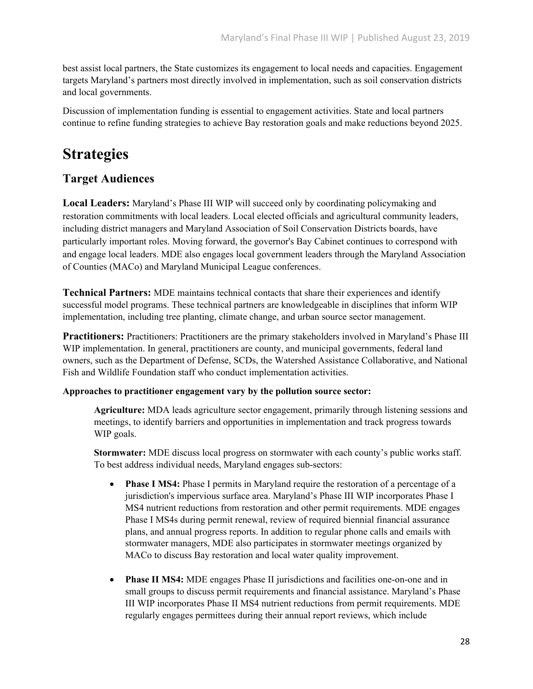best assist local partners, the State customizes its engagement to local needs and capacities. Engagement targets Maryland's partners most directly involved in implementation, such as soil conservation districts and local governments.

Discussion of implementation funding is essential to engagement activities. State and local partners continue to refine funding strategies to achieve Bay restoration goals and make reductions beyond 2025.

### **Strategies**

#### **Target Audiences**

**Local Leaders:** Maryland's Phase III WIP will succeed only by coordinating policymaking and restoration commitments with local leaders. Local elected officials and agricultural community leaders, including district managers and Maryland Association of Soil Conservation Districts boards, have particularly important roles. Moving forward, the governor's Bay Cabinet continues to correspond with and engage local leaders. MDE also engages local government leaders through the Maryland Association of Counties (MACo) and Maryland Municipal League conferences.

**Technical Partners:** MDE maintains technical contacts that share their experiences and identify successful model programs. These technical partners are knowledgeable in disciplines that inform WIP implementation, including tree planting, climate change, and urban source sector management.

**Practitioners:** Practitioners: Practitioners are the primary stakeholders involved in Maryland's Phase III WIP implementation. In general, practitioners are county, and municipal governments, federal land owners, such as the Department of Defense, SCDs, the Watershed Assistance Collaborative, and National Fish and Wildlife Foundation staff who conduct implementation activities.

#### **Approaches to practitioner engagement vary by the pollution source sector:**

**Agriculture:** MDA leads agriculture sector engagement, primarily through listening sessions and meetings, to identify barriers and opportunities in implementation and track progress towards WIP goals.

**Stormwater:** MDE discuss local progress on stormwater with each county's public works staff. To best address individual needs, Maryland engages sub-sectors:

- **Phase I MS4:** Phase I permits in Maryland require the restoration of a percentage of a jurisdiction's impervious surface area. Maryland's Phase III WIP incorporates Phase I MS4 nutrient reductions from restoration and other permit requirements. MDE engages Phase I MS4s during permit renewal, review of required biennial financial assurance plans, and annual progress reports. In addition to regular phone calls and emails with stormwater managers, MDE also participates in stormwater meetings organized by MACo to discuss Bay restoration and local water quality improvement.
- **Phase II MS4:** MDE engages Phase II jurisdictions and facilities one-on-one and in small groups to discuss permit requirements and financial assistance. Maryland's Phase III WIP incorporates Phase II MS4 nutrient reductions from permit requirements. MDE regularly engages permittees during their annual report reviews, which include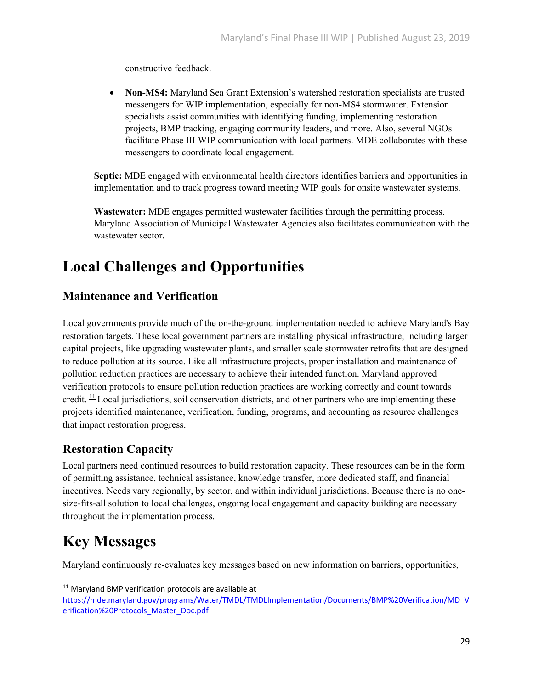constructive feedback.

 **Non-MS4:** Maryland Sea Grant Extension's watershed restoration specialists are trusted messengers for WIP implementation, especially for non-MS4 stormwater. Extension specialists assist communities with identifying funding, implementing restoration projects, BMP tracking, engaging community leaders, and more. Also, several NGOs facilitate Phase III WIP communication with local partners. MDE collaborates with these messengers to coordinate local engagement.

**Septic:** MDE engaged with environmental health directors identifies barriers and opportunities in implementation and to track progress toward meeting WIP goals for onsite wastewater systems.

**Wastewater:** MDE engages permitted wastewater facilities through the permitting process. Maryland Association of Municipal Wastewater Agencies also facilitates communication with the wastewater sector.

### **Local Challenges and Opportunities**

#### **Maintenance and Verification**

Local governments provide much of the on-the-ground implementation needed to achieve Maryland's Bay restoration targets. These local government partners are installing physical infrastructure, including larger capital projects, like upgrading wastewater plants, and smaller scale stormwater retrofits that are designed to reduce pollution at its source. Like all infrastructure projects, proper installation and maintenance of pollution reduction practices are necessary to achieve their intended function. Maryland approved verification protocols to ensure pollution reduction practices are working correctly and count towards credit.  $\frac{11}{12}$  Local jurisdictions, soil conservation districts, and other partners who are implementing these projects identified maintenance, verification, funding, programs, and accounting as resource challenges that impact restoration progress.

#### **Restoration Capacity**

Local partners need continued resources to build restoration capacity. These resources can be in the form of permitting assistance, technical assistance, knowledge transfer, more dedicated staff, and financial incentives. Needs vary regionally, by sector, and within individual jurisdictions. Because there is no onesize-fits-all solution to local challenges, ongoing local engagement and capacity building are necessary throughout the implementation process.

## **Key Messages**

Maryland continuously re-evaluates key messages based on new information on barriers, opportunities,

<sup>&</sup>lt;sup>11</sup> Maryland BMP verification protocols are available at

https://mde.maryland.gov/programs/Water/TMDL/TMDLImplementation/Documents/BMP%20Verification/MD\_V erification%20Protocols\_Master\_Doc.pdf